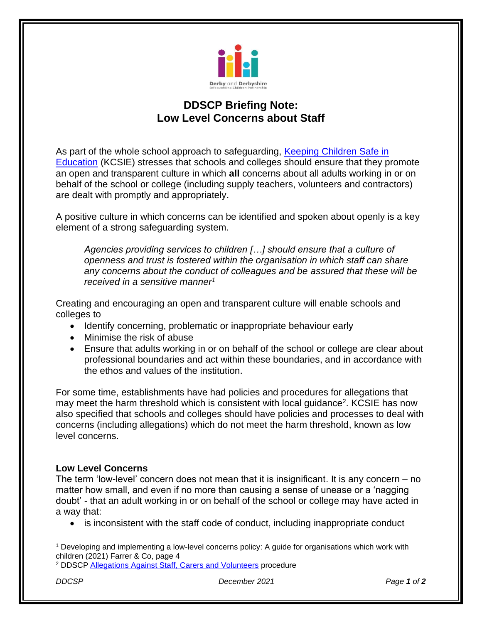

## **DDSCP Briefing Note: Low Level Concerns about Staff**

As part of the whole school approach to safeguarding, [Keeping Children Safe in](https://www.gov.uk/government/publications/keeping-children-safe-in-education--2)  [Education](https://www.gov.uk/government/publications/keeping-children-safe-in-education--2) (KCSIE) stresses that schools and colleges should ensure that they promote an open and transparent culture in which **all** concerns about all adults working in or on behalf of the school or college (including supply teachers, volunteers and contractors) are dealt with promptly and appropriately.

A positive culture in which concerns can be identified and spoken about openly is a key element of a strong safeguarding system.

*Agencies providing services to children […] should ensure that a culture of openness and trust is fostered within the organisation in which staff can share any concerns about the conduct of colleagues and be assured that these will be received in a sensitive manner<sup>1</sup>*

Creating and encouraging an open and transparent culture will enable schools and colleges to

- Identify concerning, problematic or inappropriate behaviour early
- Minimise the risk of abuse
- Ensure that adults working in or on behalf of the school or college are clear about professional boundaries and act within these boundaries, and in accordance with the ethos and values of the institution.

For some time, establishments have had policies and procedures for allegations that may meet the harm threshold which is consistent with local guidance<sup>2</sup>. KCSIE has now also specified that schools and colleges should have policies and processes to deal with concerns (including allegations) which do not meet the harm threshold, known as low level concerns.

## **Low Level Concerns**

The term 'low-level' concern does not mean that it is insignificant. It is any concern – no matter how small, and even if no more than causing a sense of unease or a 'nagging doubt' - that an adult working in or on behalf of the school or college may have acted in a way that:

• is inconsistent with the staff code of conduct, including inappropriate conduct

*DDCSP December 2021 Page 1 of 2*

<sup>1</sup> Developing and implementing a low-level concerns policy: A guide for organisations which work with children (2021) Farrer & Co, page 4

<sup>2</sup> DDSCP [Allegations Against Staff, Carers and Volunteers](https://derbyshirescbs.proceduresonline.com/p_alleg_staff_carer_volunteer.html) procedure